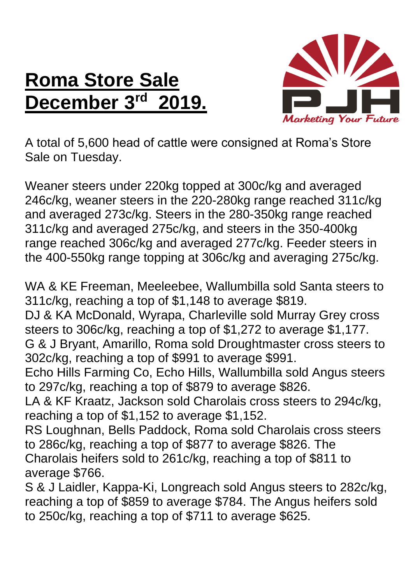## **Roma Store Sale December 3rd 2019.**



A total of 5,600 head of cattle were consigned at Roma's Store Sale on Tuesday.

Weaner steers under 220kg topped at 300c/kg and averaged 246c/kg, weaner steers in the 220-280kg range reached 311c/kg and averaged 273c/kg. Steers in the 280-350kg range reached 311c/kg and averaged 275c/kg, and steers in the 350-400kg range reached 306c/kg and averaged 277c/kg. Feeder steers in the 400-550kg range topping at 306c/kg and averaging 275c/kg.

WA & KE Freeman, Meeleebee, Wallumbilla sold Santa steers to 311c/kg, reaching a top of \$1,148 to average \$819.

DJ & KA McDonald, Wyrapa, Charleville sold Murray Grey cross steers to 306c/kg, reaching a top of \$1,272 to average \$1,177. G & J Bryant, Amarillo, Roma sold Droughtmaster cross steers to 302c/kg, reaching a top of \$991 to average \$991.

Echo Hills Farming Co, Echo Hills, Wallumbilla sold Angus steers to 297c/kg, reaching a top of \$879 to average \$826.

LA & KF Kraatz, Jackson sold Charolais cross steers to 294c/kg, reaching a top of \$1,152 to average \$1,152.

RS Loughnan, Bells Paddock, Roma sold Charolais cross steers to 286c/kg, reaching a top of \$877 to average \$826. The Charolais heifers sold to 261c/kg, reaching a top of \$811 to average \$766.

S & J Laidler, Kappa-Ki, Longreach sold Angus steers to 282c/kg, reaching a top of \$859 to average \$784. The Angus heifers sold to 250c/kg, reaching a top of \$711 to average \$625.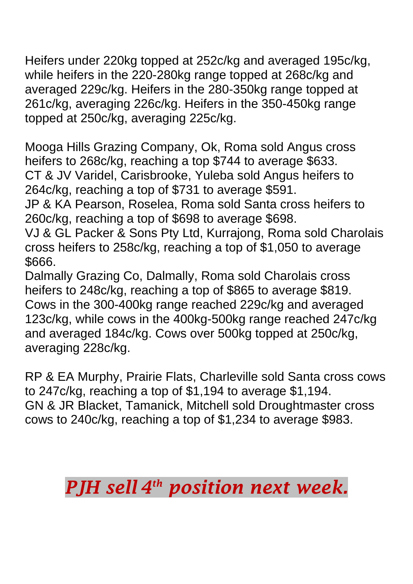Heifers under 220kg topped at 252c/kg and averaged 195c/kg, while heifers in the 220-280kg range topped at 268c/kg and averaged 229c/kg. Heifers in the 280-350kg range topped at 261c/kg, averaging 226c/kg. Heifers in the 350-450kg range topped at 250c/kg, averaging 225c/kg.

Mooga Hills Grazing Company, Ok, Roma sold Angus cross heifers to 268c/kg, reaching a top \$744 to average \$633. CT & JV Varidel, Carisbrooke, Yuleba sold Angus heifers to 264c/kg, reaching a top of \$731 to average \$591.

JP & KA Pearson, Roselea, Roma sold Santa cross heifers to 260c/kg, reaching a top of \$698 to average \$698.

VJ & GL Packer & Sons Pty Ltd, Kurrajong, Roma sold Charolais cross heifers to 258c/kg, reaching a top of \$1,050 to average \$666.

Dalmally Grazing Co, Dalmally, Roma sold Charolais cross heifers to 248c/kg, reaching a top of \$865 to average \$819. Cows in the 300-400kg range reached 229c/kg and averaged 123c/kg, while cows in the 400kg-500kg range reached 247c/kg and averaged 184c/kg. Cows over 500kg topped at 250c/kg, averaging 228c/kg.

RP & EA Murphy, Prairie Flats, Charleville sold Santa cross cows to 247c/kg, reaching a top of \$1,194 to average \$1,194. GN & JR Blacket, Tamanick, Mitchell sold Droughtmaster cross cows to 240c/kg, reaching a top of \$1,234 to average \$983.

## *PJH sell 4 th position next week.*